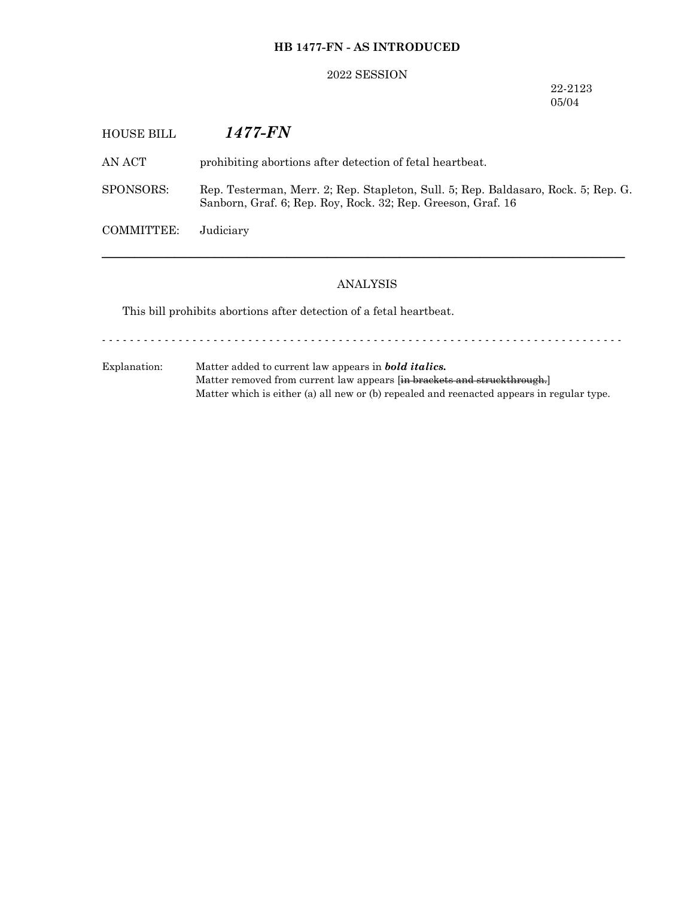# **HB 1477-FN - AS INTRODUCED**

## 2022 SESSION

22-2123 05/04

| HOUSE BILL        | <i>1477-FN</i>                                                                                                                                     |
|-------------------|----------------------------------------------------------------------------------------------------------------------------------------------------|
| AN ACT            | prohibiting abortions after detection of fetal heartbeat.                                                                                          |
| SPONSORS:         | Rep. Testerman, Merr. 2; Rep. Stapleton, Sull. 5; Rep. Baldasaro, Rock. 5; Rep. G.<br>Sanborn, Graf. 6; Rep. Roy, Rock. 32; Rep. Greeson, Graf. 16 |
| <b>COMMITTEE:</b> | Judiciary                                                                                                                                          |
|                   |                                                                                                                                                    |

## ANALYSIS

This bill prohibits abortions after detection of a fetal heartbeat.

- - - - - - - - - - - - - - - - - - - - - - - - - - - - - - - - - - - - - - - - - - - - - - - - - - - - - - - - - - - - - - - - - - - - - - - - - - -

Explanation: Matter added to current law appears in *bold italics.* Matter removed from current law appears [in brackets and struckthrough.] Matter which is either (a) all new or (b) repealed and reenacted appears in regular type.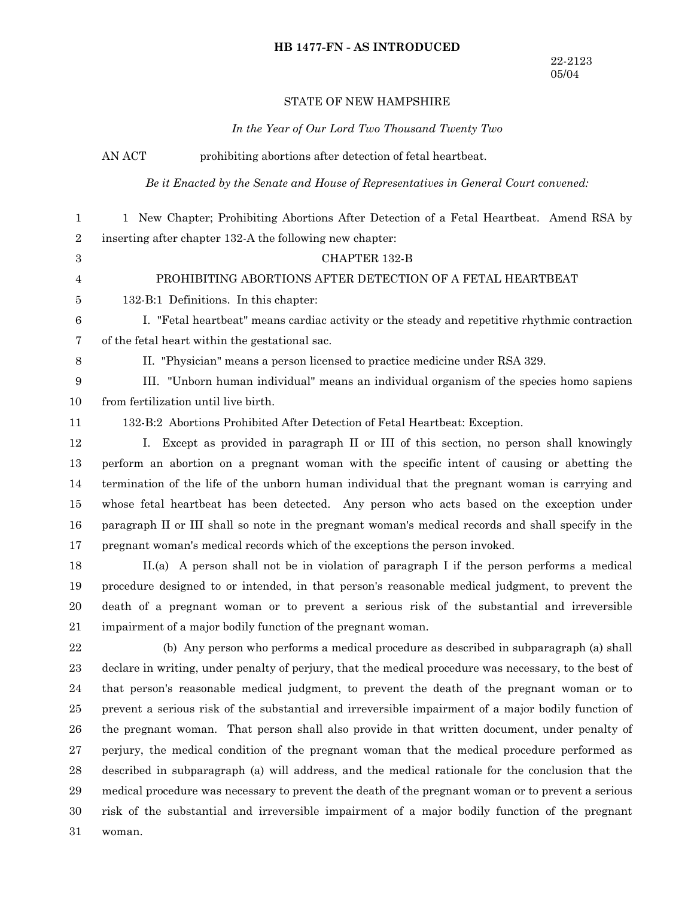## **HB 1477-FN - AS INTRODUCED**

## STATE OF NEW HAMPSHIRE

#### *In the Year of Our Lord Two Thousand Twenty Two*

AN ACT prohibiting abortions after detection of fetal heartbeat.

*Be it Enacted by the Senate and House of Representatives in General Court convened:*

1 New Chapter; Prohibiting Abortions After Detection of a Fetal Heartbeat. Amend RSA by inserting after chapter 132-A the following new chapter: 1 2

#### CHAPTER 132-B

## PROHIBITING ABORTIONS AFTER DETECTION OF A FETAL HEARTBEAT

132-B:1 Definitions. In this chapter: 5

I. "Fetal heartbeat" means cardiac activity or the steady and repetitive rhythmic contraction of the fetal heart within the gestational sac. 6 7

8

3 4

II. "Physician" means a person licensed to practice medicine under RSA 329.

III. "Unborn human individual" means an individual organism of the species homo sapiens from fertilization until live birth. 9 10

11

132-B:2 Abortions Prohibited After Detection of Fetal Heartbeat: Exception.

I. Except as provided in paragraph II or III of this section, no person shall knowingly perform an abortion on a pregnant woman with the specific intent of causing or abetting the termination of the life of the unborn human individual that the pregnant woman is carrying and whose fetal heartbeat has been detected. Any person who acts based on the exception under paragraph II or III shall so note in the pregnant woman's medical records and shall specify in the pregnant woman's medical records which of the exceptions the person invoked. 12 13 14 15 16 17

II.(a) A person shall not be in violation of paragraph I if the person performs a medical procedure designed to or intended, in that person's reasonable medical judgment, to prevent the death of a pregnant woman or to prevent a serious risk of the substantial and irreversible impairment of a major bodily function of the pregnant woman. 18 19 20 21

(b) Any person who performs a medical procedure as described in subparagraph (a) shall declare in writing, under penalty of perjury, that the medical procedure was necessary, to the best of that person's reasonable medical judgment, to prevent the death of the pregnant woman or to prevent a serious risk of the substantial and irreversible impairment of a major bodily function of the pregnant woman. That person shall also provide in that written document, under penalty of perjury, the medical condition of the pregnant woman that the medical procedure performed as described in subparagraph (a) will address, and the medical rationale for the conclusion that the medical procedure was necessary to prevent the death of the pregnant woman or to prevent a serious risk of the substantial and irreversible impairment of a major bodily function of the pregnant woman. 22 23 24 25 26 27 28 29 30 31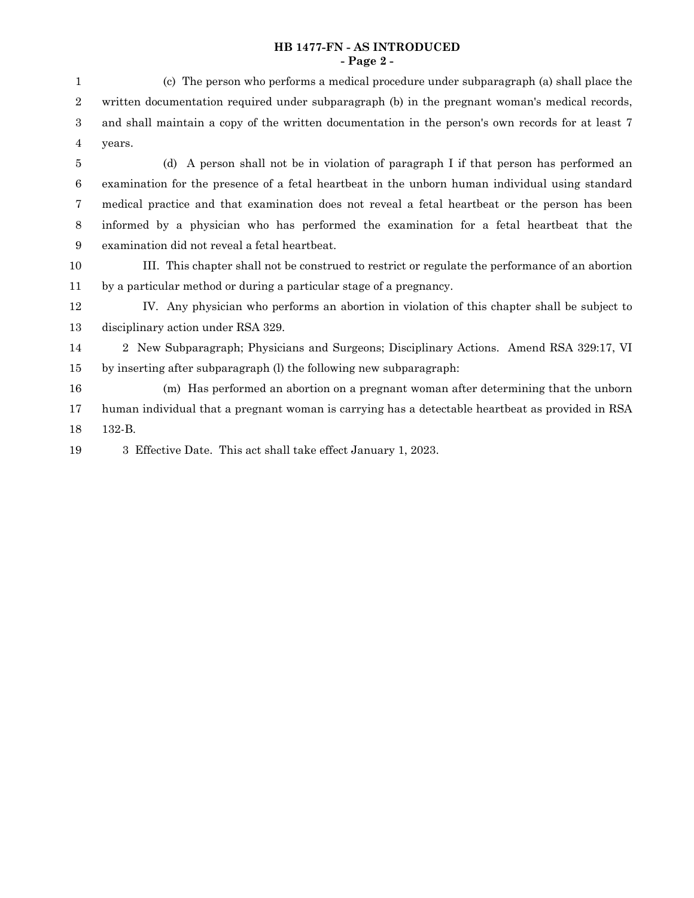## **HB 1477-FN - AS INTRODUCED - Page 2 -**

(d) A person shall not be in violation of paragraph I if that person has performed an examination for the presence of a fetal heartbeat in the unborn human individual using standard medical practice and that examination does not reveal a fetal heartbeat or the person has been informed by a physician who has performed the examination for a fetal heartbeat that the examination did not reveal a fetal heartbeat. 5 6 7 8 9

III. This chapter shall not be construed to restrict or regulate the performance of an abortion by a particular method or during a particular stage of a pregnancy. 10 11

IV. Any physician who performs an abortion in violation of this chapter shall be subject to disciplinary action under RSA 329. 12 13

2 New Subparagraph; Physicians and Surgeons; Disciplinary Actions. Amend RSA 329:17, VI by inserting after subparagraph (l) the following new subparagraph: 14 15

(m) Has performed an abortion on a pregnant woman after determining that the unborn human individual that a pregnant woman is carrying has a detectable heartbeat as provided in RSA 132-B. 16 17 18

3 Effective Date. This act shall take effect January 1, 2023. 19